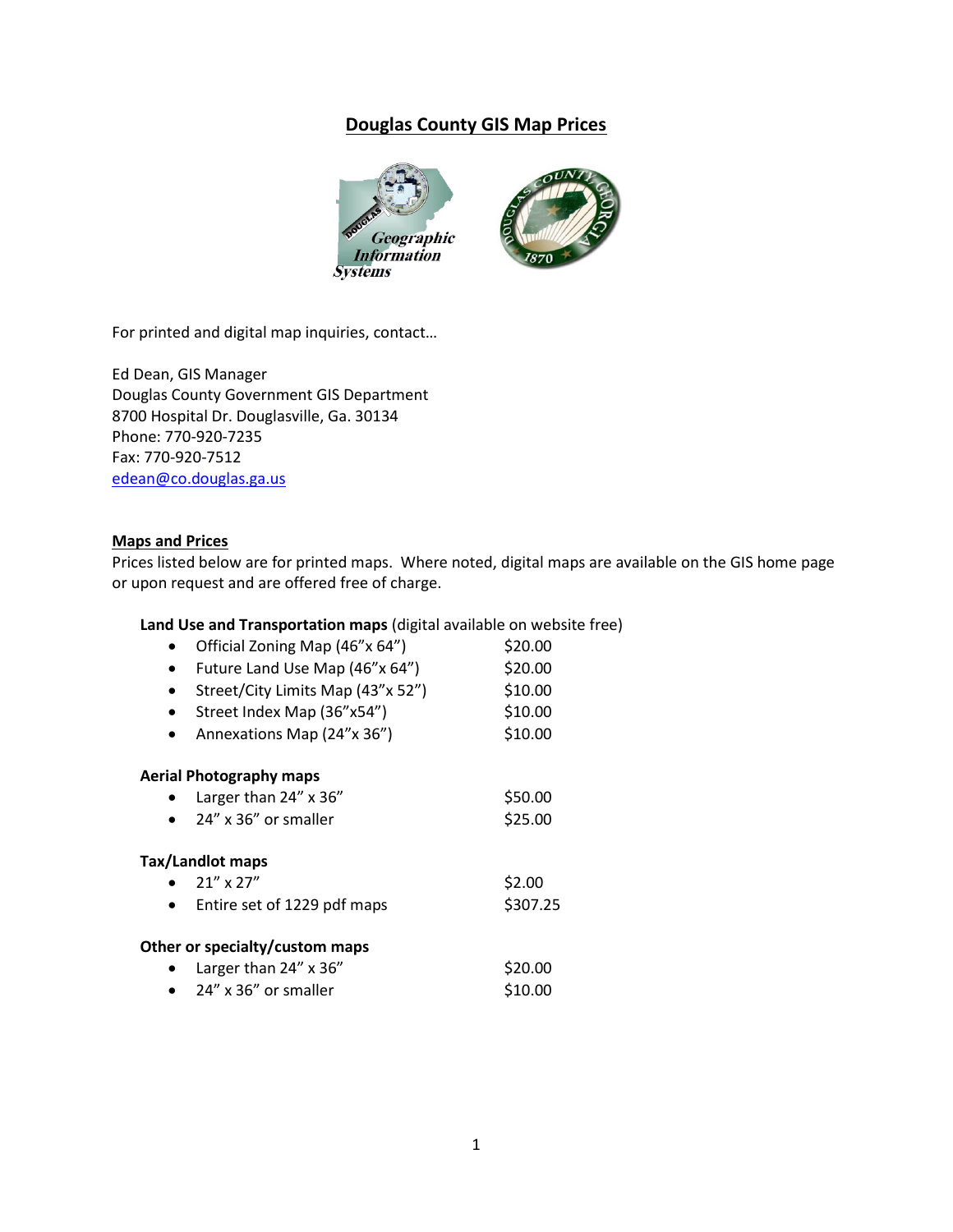# **Douglas County GIS Map Prices**





For printed and digital map inquiries, contact…

Ed Dean, GIS Manager Douglas County Government GIS Department 8700 Hospital Dr. Douglasville, Ga. 30134 Phone: 770-920-7235 Fax: 770-920-7512 [edean@co.douglas.ga.us](mailto:edean@co.douglas.ga.us)

### **Maps and Prices**

Prices listed below are for printed maps. Where noted, digital maps are available on the GIS home page or upon request and are offered free of charge.

#### **Land Use and Transportation maps** (digital available on website free)

| Official Zoning Map (46"x 64")    | \$20.00  |
|-----------------------------------|----------|
| Future Land Use Map (46"x 64")    | \$20.00  |
| Street/City Limits Map (43"x 52") | \$10.00  |
| Street Index Map (36"x54")        | \$10.00  |
| Annexations Map (24"x 36")        | \$10.00  |
| <b>Aerial Photography maps</b>    |          |
| • Larger than $24''$ x $36''$     | \$50.00  |
| 24" x 36" or smaller              | \$25.00  |
| Tax/Landlot maps                  |          |
| $21''$ x $27''$                   | \$2.00   |
| Entire set of 1229 pdf maps       | \$307.25 |
| Other or specialty/custom maps    |          |
| Larger than 24" x 36"             | \$20.00  |
| 24" x 36" or smaller              | \$10.00  |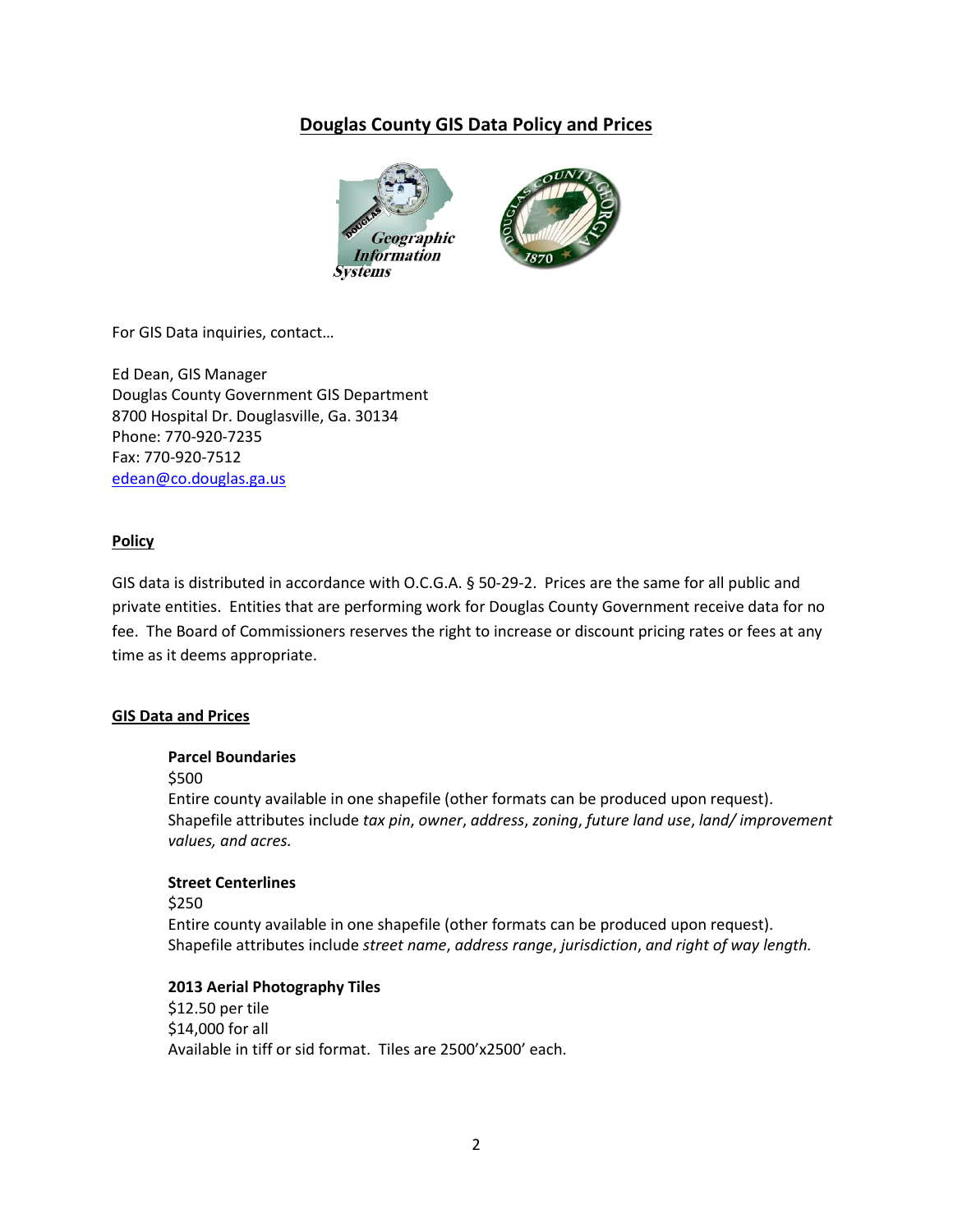# **Douglas County GIS Data Policy and Prices**





For GIS Data inquiries, contact…

Ed Dean, GIS Manager Douglas County Government GIS Department 8700 Hospital Dr. Douglasville, Ga. 30134 Phone: 770-920-7235 Fax: 770-920-7512 [edean@co.douglas.ga.us](mailto:edean@co.douglas.ga.us)

## **Policy**

GIS data is distributed in accordance with O.C.G.A. § 50-29-2. Prices are the same for all public and private entities. Entities that are performing work for Douglas County Government receive data for no fee. The Board of Commissioners reserves the right to increase or discount pricing rates or fees at any time as it deems appropriate.

#### **GIS Data and Prices**

#### **Parcel Boundaries**

#### \$500

Entire county available in one shapefile (other formats can be produced upon request). Shapefile attributes include *tax pin*, *owner*, *address*, *zoning*, *future land use*, *land/ improvement values, and acres.*

#### **Street Centerlines**

\$250 Entire county available in one shapefile (other formats can be produced upon request). Shapefile attributes include *street name*, *address range*, *jurisdiction*, *and right of way length.*

#### **2013 Aerial Photography Tiles**

\$12.50 per tile \$14,000 for all Available in tiff or sid format. Tiles are 2500'x2500' each.